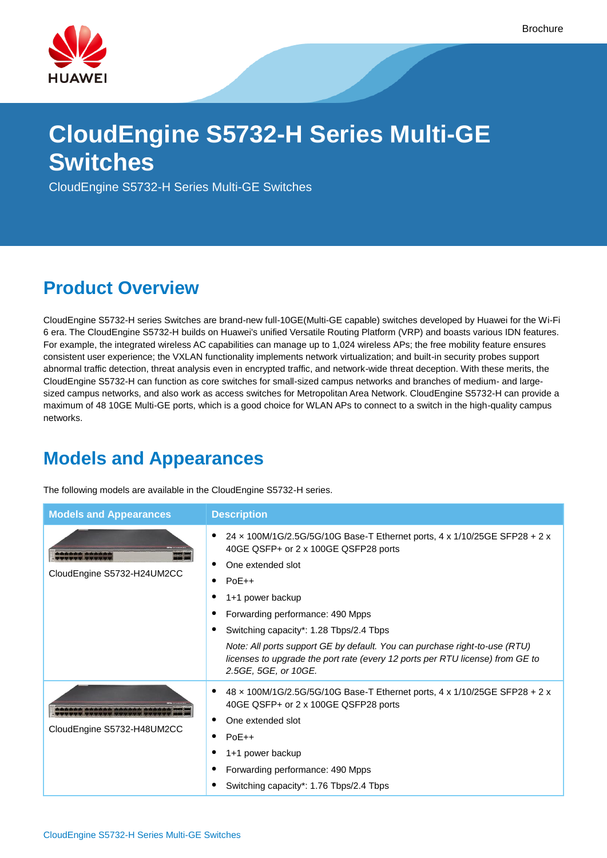

# **CloudEngine S5732-H Series Multi-GE Switches**

CloudEngine S5732-H Series Multi-GE Switches

### **Product Overview**

CloudEngine S5732-H series Switches are brand-new full-10GE(Multi-GE capable) switches developed by Huawei for the Wi-Fi 6 era. The CloudEngine S5732-H builds on Huawei's unified Versatile Routing Platform (VRP) and boasts various IDN features. For example, the integrated wireless AC capabilities can manage up to 1,024 wireless APs; the free mobility feature ensures consistent user experience; the VXLAN functionality implements network virtualization; and built-in security probes support abnormal traffic detection, threat analysis even in encrypted traffic, and network-wide threat deception. With these merits, the CloudEngine S5732-H can function as core switches for small-sized campus networks and branches of medium- and largesized campus networks, and also work as access switches for Metropolitan Area Network. CloudEngine S5732-H can provide a maximum of 48 10GE Multi-GE ports, which is a good choice for WLAN APs to connect to a switch in the high-quality campus networks.

### **Models and Appearances**

The following models are available in the CloudEngine S5732-H series.

| <b>Models and Appearances</b>                                               | <b>Description</b>                                                                                                                                                                                                                                                                                                                                                                                                                                    |
|-----------------------------------------------------------------------------|-------------------------------------------------------------------------------------------------------------------------------------------------------------------------------------------------------------------------------------------------------------------------------------------------------------------------------------------------------------------------------------------------------------------------------------------------------|
| 1950 TOP TOP THE CASE OF THE 1950 TOP THE TWO<br>CloudEngine S5732-H24UM2CC | 24 x 100M/1G/2.5G/5G/10G Base-T Ethernet ports, 4 x 1/10/25GE SFP28 + 2 x<br>٠<br>40GE QSFP+ or 2 x 100GE QSFP28 ports<br>One extended slot<br>٠<br>$PoE++$<br>1+1 power backup<br>Forwarding performance: 490 Mpps<br>Switching capacity*: 1.28 Tbps/2.4 Tbps<br>Note: All ports support GE by default. You can purchase right-to-use (RTU)<br>licenses to upgrade the port rate (every 12 ports per RTU license) from GE to<br>2.5GE, 5GE, or 10GE. |
| CloudEngine S5732-H48UM2CC                                                  | 48 x 100M/1G/2.5G/5G/10G Base-T Ethernet ports, 4 x 1/10/25GE SFP28 + 2 x<br>40GE QSFP+ or 2 x 100GE QSFP28 ports<br>One extended slot<br>٠<br>$PoE++$<br>1+1 power backup<br>Forwarding performance: 490 Mpps<br>Switching capacity*: 1.76 Tbps/2.4 Tbps                                                                                                                                                                                             |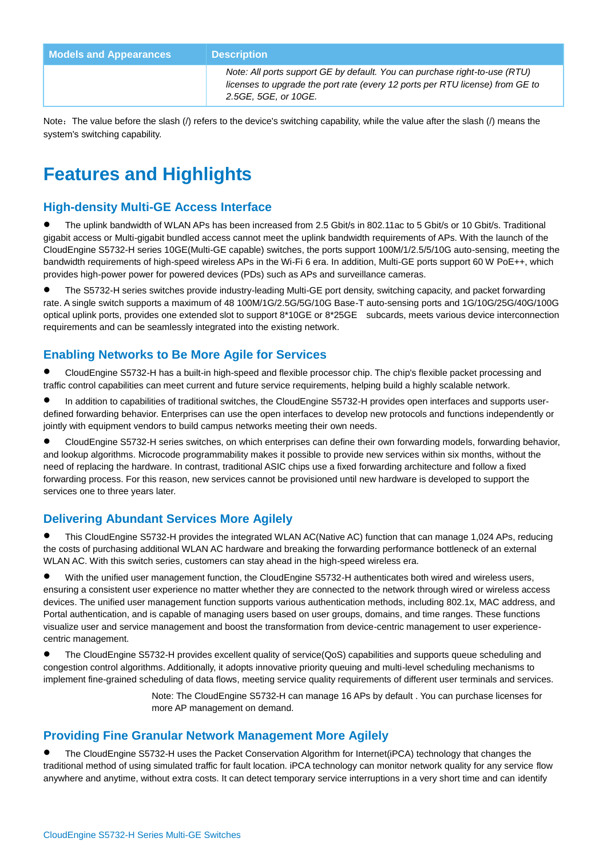| <b>Models and Appearances</b> | <b>Description</b>                                                                                                                                                                  |
|-------------------------------|-------------------------------------------------------------------------------------------------------------------------------------------------------------------------------------|
|                               | Note: All ports support GE by default. You can purchase right-to-use (RTU)<br>licenses to upgrade the port rate (every 12 ports per RTU license) from GE to<br>2.5GE, 5GE, or 10GE. |

Note: The value before the slash (/) refers to the device's switching capability, while the value after the slash (/) means the system's switching capability.

## **Features and Highlights**

### **High-density Multi-GE Access Interface**

 The uplink bandwidth of WLAN APs has been increased from 2.5 Gbit/s in 802.11ac to 5 Gbit/s or 10 Gbit/s. Traditional gigabit access or Multi-gigabit bundled access cannot meet the uplink bandwidth requirements of APs. With the launch of the CloudEngine S5732-H series 10GE(Multi-GE capable) switches, the ports support 100M/1/2.5/5/10G auto-sensing, meeting the bandwidth requirements of high-speed wireless APs in the Wi-Fi 6 era. In addition, Multi-GE ports support 60 W PoE++, which provides high-power power for powered devices (PDs) such as APs and surveillance cameras.

 The S5732-H series switches provide industry-leading Multi-GE port density, switching capacity, and packet forwarding rate. A single switch supports a maximum of 48 100M/1G/2.5G/5G/10G Base-T auto-sensing ports and 1G/10G/25G/40G/100G optical uplink ports, provides one extended slot to support 8\*10GE or 8\*25GE subcards, meets various device interconnection requirements and can be seamlessly integrated into the existing network.

### **Enabling Networks to Be More Agile for Services**

 CloudEngine S5732-H has a built-in high-speed and flexible processor chip. The chip's flexible packet processing and traffic control capabilities can meet current and future service requirements, helping build a highly scalable network.

 In addition to capabilities of traditional switches, the CloudEngine S5732-H provides open interfaces and supports userdefined forwarding behavior. Enterprises can use the open interfaces to develop new protocols and functions independently or jointly with equipment vendors to build campus networks meeting their own needs.

 CloudEngine S5732-H series switches, on which enterprises can define their own forwarding models, forwarding behavior, and lookup algorithms. Microcode programmability makes it possible to provide new services within six months, without the need of replacing the hardware. In contrast, traditional ASIC chips use a fixed forwarding architecture and follow a fixed forwarding process. For this reason, new services cannot be provisioned until new hardware is developed to support the services one to three years later.

### **Delivering Abundant Services More Agilely**

 This CloudEngine S5732-H provides the integrated WLAN AC(Native AC) function that can manage 1,024 APs, reducing the costs of purchasing additional WLAN AC hardware and breaking the forwarding performance bottleneck of an external WLAN AC. With this switch series, customers can stay ahead in the high-speed wireless era.

 With the unified user management function, the CloudEngine S5732-H authenticates both wired and wireless users, ensuring a consistent user experience no matter whether they are connected to the network through wired or wireless access devices. The unified user management function supports various authentication methods, including 802.1x, MAC address, and Portal authentication, and is capable of managing users based on user groups, domains, and time ranges. These functions visualize user and service management and boost the transformation from device-centric management to user experiencecentric management.

 The CloudEngine S5732-H provides excellent quality of service(QoS) capabilities and supports queue scheduling and congestion control algorithms. Additionally, it adopts innovative priority queuing and multi-level scheduling mechanisms to implement fine-grained scheduling of data flows, meeting service quality requirements of different user terminals and services.

> Note: The CloudEngine S5732-H can manage 16 APs by default . You can purchase licenses for more AP management on demand.

### **Providing Fine Granular Network Management More Agilely**

 The CloudEngine S5732-H uses the Packet Conservation Algorithm for Internet(iPCA) technology that changes the traditional method of using simulated traffic for fault location. iPCA technology can monitor network quality for any service flow anywhere and anytime, without extra costs. It can detect temporary service interruptions in a very short time and can identify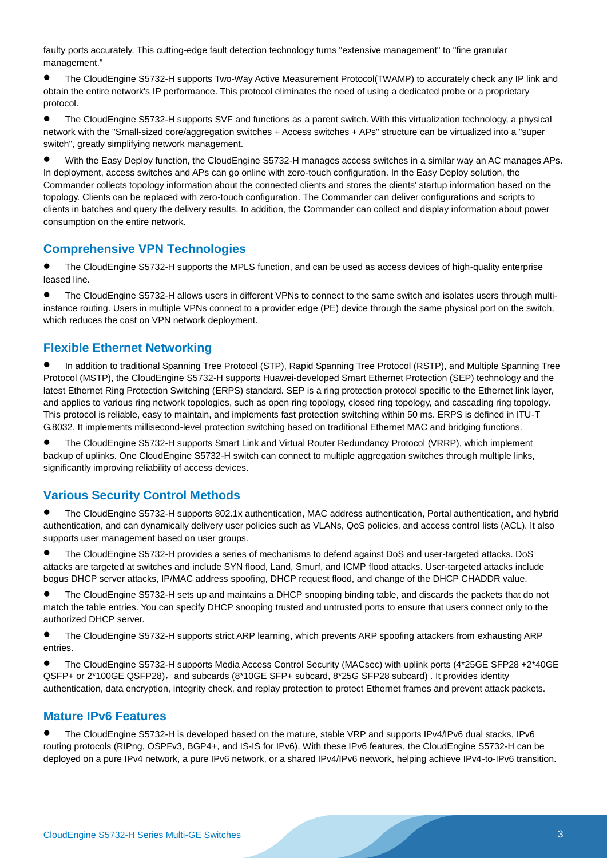faulty ports accurately. This cutting-edge fault detection technology turns "extensive management" to "fine granular management."

 The CloudEngine S5732-H supports Two-Way Active Measurement Protocol(TWAMP) to accurately check any IP link and obtain the entire network's IP performance. This protocol eliminates the need of using a dedicated probe or a proprietary protocol.

 The CloudEngine S5732-H supports SVF and functions as a parent switch. With this virtualization technology, a physical network with the "Small-sized core/aggregation switches + Access switches + APs" structure can be virtualized into a "super switch", greatly simplifying network management.

 With the Easy Deploy function, the CloudEngine S5732-H manages access switches in a similar way an AC manages APs. In deployment, access switches and APs can go online with zero-touch configuration. In the Easy Deploy solution, the Commander collects topology information about the connected clients and stores the clients' startup information based on the topology. Clients can be replaced with zero-touch configuration. The Commander can deliver configurations and scripts to clients in batches and query the delivery results. In addition, the Commander can collect and display information about power consumption on the entire network.

### **Comprehensive VPN Technologies**

 The CloudEngine S5732-H supports the MPLS function, and can be used as access devices of high-quality enterprise leased line.

 The CloudEngine S5732-H allows users in different VPNs to connect to the same switch and isolates users through multiinstance routing. Users in multiple VPNs connect to a provider edge (PE) device through the same physical port on the switch, which reduces the cost on VPN network deployment.

### **Flexible Ethernet Networking**

 In addition to traditional Spanning Tree Protocol (STP), Rapid Spanning Tree Protocol (RSTP), and Multiple Spanning Tree Protocol (MSTP), the CloudEngine S5732-H supports Huawei-developed Smart Ethernet Protection (SEP) technology and the latest Ethernet Ring Protection Switching (ERPS) standard. SEP is a ring protection protocol specific to the Ethernet link layer, and applies to various ring network topologies, such as open ring topology, closed ring topology, and cascading ring topology. This protocol is reliable, easy to maintain, and implements fast protection switching within 50 ms. ERPS is defined in ITU-T G.8032. It implements millisecond-level protection switching based on traditional Ethernet MAC and bridging functions.

 The CloudEngine S5732-H supports Smart Link and Virtual Router Redundancy Protocol (VRRP), which implement backup of uplinks. One CloudEngine S5732-H switch can connect to multiple aggregation switches through multiple links, significantly improving reliability of access devices.

### **Various Security Control Methods**

 The CloudEngine S5732-H supports 802.1x authentication, MAC address authentication, Portal authentication, and hybrid authentication, and can dynamically delivery user policies such as VLANs, QoS policies, and access control lists (ACL). It also supports user management based on user groups.

 The CloudEngine S5732-H provides a series of mechanisms to defend against DoS and user-targeted attacks. DoS attacks are targeted at switches and include SYN flood, Land, Smurf, and ICMP flood attacks. User-targeted attacks include bogus DHCP server attacks, IP/MAC address spoofing, DHCP request flood, and change of the DHCP CHADDR value.

 The CloudEngine S5732-H sets up and maintains a DHCP snooping binding table, and discards the packets that do not match the table entries. You can specify DHCP snooping trusted and untrusted ports to ensure that users connect only to the authorized DHCP server.

 The CloudEngine S5732-H supports strict ARP learning, which prevents ARP spoofing attackers from exhausting ARP entries.

 The CloudEngine S5732-H supports Media Access Control Security (MACsec) with uplink ports (4\*25GE SFP28 +2\*40GE QSFP+ or 2\*100GE QSFP28), and subcards (8\*10GE SFP+ subcard, 8\*25G SFP28 subcard) . It provides identity authentication, data encryption, integrity check, and replay protection to protect Ethernet frames and prevent attack packets.

### **Mature IPv6 Features**

 The CloudEngine S5732-H is developed based on the mature, stable VRP and supports IPv4/IPv6 dual stacks, IPv6 routing protocols (RIPng, OSPFv3, BGP4+, and IS-IS for IPv6). With these IPv6 features, the CloudEngine S5732-H can be deployed on a pure IPv4 network, a pure IPv6 network, or a shared IPv4/IPv6 network, helping achieve IPv4-to-IPv6 transition.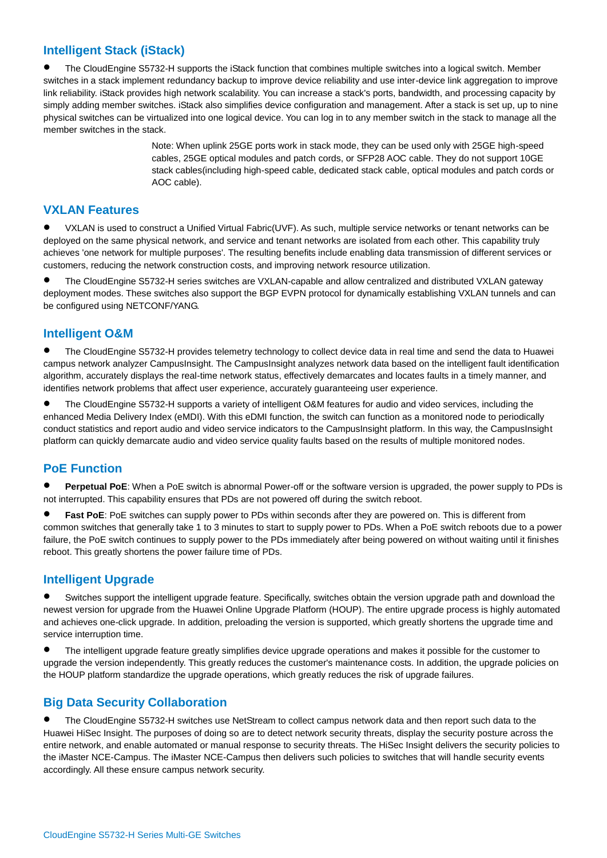### **Intelligent Stack (iStack)**

 The CloudEngine S5732-H supports the iStack function that combines multiple switches into a logical switch. Member switches in a stack implement redundancy backup to improve device reliability and use inter-device link aggregation to improve link reliability. iStack provides high network scalability. You can increase a stack's ports, bandwidth, and processing capacity by simply adding member switches. iStack also simplifies device configuration and management. After a stack is set up, up to nine physical switches can be virtualized into one logical device. You can log in to any member switch in the stack to manage all the member switches in the stack.

> Note: When uplink 25GE ports work in stack mode, they can be used only with 25GE high-speed cables, 25GE optical modules and patch cords, or SFP28 AOC cable. They do not support 10GE stack cables(including high-speed cable, dedicated stack cable, optical modules and patch cords or AOC cable).

#### **VXLAN Features**

 VXLAN is used to construct a Unified Virtual Fabric(UVF). As such, multiple service networks or tenant networks can be deployed on the same physical network, and service and tenant networks are isolated from each other. This capability truly achieves 'one network for multiple purposes'. The resulting benefits include enabling data transmission of different services or customers, reducing the network construction costs, and improving network resource utilization.

 The CloudEngine S5732-H series switches are VXLAN-capable and allow centralized and distributed VXLAN gateway deployment modes. These switches also support the BGP EVPN protocol for dynamically establishing VXLAN tunnels and can be configured using NETCONF/YANG.

### **Intelligent O&M**

 The CloudEngine S5732-H provides telemetry technology to collect device data in real time and send the data to Huawei campus network analyzer CampusInsight. The CampusInsight analyzes network data based on the intelligent fault identification algorithm, accurately displays the real-time network status, effectively demarcates and locates faults in a timely manner, and identifies network problems that affect user experience, accurately guaranteeing user experience.

 The CloudEngine S5732-H supports a variety of intelligent O&M features for audio and video services, including the enhanced Media Delivery Index (eMDI). With this eDMI function, the switch can function as a monitored node to periodically conduct statistics and report audio and video service indicators to the CampusInsight platform. In this way, the CampusInsight platform can quickly demarcate audio and video service quality faults based on the results of multiple monitored nodes.

### **PoE Function**

 **Perpetual PoE**: When a PoE switch is abnormal Power-off or the software version is upgraded, the power supply to PDs is not interrupted. This capability ensures that PDs are not powered off during the switch reboot.

**Fast PoE**: PoE switches can supply power to PDs within seconds after they are powered on. This is different from common switches that generally take 1 to 3 minutes to start to supply power to PDs. When a PoE switch reboots due to a power failure, the PoE switch continues to supply power to the PDs immediately after being powered on without waiting until it finishes reboot. This greatly shortens the power failure time of PDs.

### **Intelligent Upgrade**

 Switches support the intelligent upgrade feature. Specifically, switches obtain the version upgrade path and download the newest version for upgrade from the Huawei Online Upgrade Platform (HOUP). The entire upgrade process is highly automated and achieves one-click upgrade. In addition, preloading the version is supported, which greatly shortens the upgrade time and service interruption time.

 The intelligent upgrade feature greatly simplifies device upgrade operations and makes it possible for the customer to upgrade the version independently. This greatly reduces the customer's maintenance costs. In addition, the upgrade policies on the HOUP platform standardize the upgrade operations, which greatly reduces the risk of upgrade failures.

### **Big Data Security Collaboration**

 The CloudEngine S5732-H switches use NetStream to collect campus network data and then report such data to the Huawei HiSec Insight. The purposes of doing so are to detect network security threats, display the security posture across the entire network, and enable automated or manual response to security threats. The HiSec Insight delivers the security policies to the iMaster NCE-Campus. The iMaster NCE-Campus then delivers such policies to switches that will handle security events accordingly. All these ensure campus network security.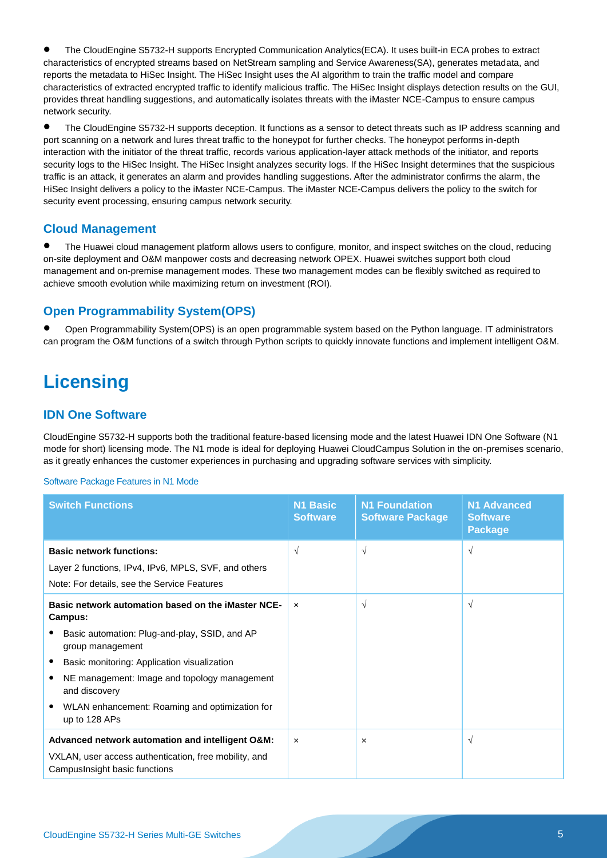The CloudEngine S5732-H supports Encrypted Communication Analytics(ECA). It uses built-in ECA probes to extract characteristics of encrypted streams based on NetStream sampling and Service Awareness(SA), generates metadata, and reports the metadata to HiSec Insight. The HiSec Insight uses the AI algorithm to train the traffic model and compare characteristics of extracted encrypted traffic to identify malicious traffic. The HiSec Insight displays detection results on the GUI, provides threat handling suggestions, and automatically isolates threats with the iMaster NCE-Campus to ensure campus network security.

 The CloudEngine S5732-H supports deception. It functions as a sensor to detect threats such as IP address scanning and port scanning on a network and lures threat traffic to the honeypot for further checks. The honeypot performs in-depth interaction with the initiator of the threat traffic, records various application-layer attack methods of the initiator, and reports security logs to the HiSec Insight. The HiSec Insight analyzes security logs. If the HiSec Insight determines that the suspicious traffic is an attack, it generates an alarm and provides handling suggestions. After the administrator confirms the alarm, the HiSec Insight delivers a policy to the iMaster NCE-Campus. The iMaster NCE-Campus delivers the policy to the switch for security event processing, ensuring campus network security.

### **Cloud Management**

 The Huawei cloud management platform allows users to configure, monitor, and inspect switches on the cloud, reducing on-site deployment and O&M manpower costs and decreasing network OPEX. Huawei switches support both cloud management and on-premise management modes. These two management modes can be flexibly switched as required to achieve smooth evolution while maximizing return on investment (ROI).

### **Open Programmability System(OPS)**

 Open Programmability System(OPS) is an open programmable system based on the Python language. IT administrators can program the O&M functions of a switch through Python scripts to quickly innovate functions and implement intelligent O&M.

### **Licensing**

### **IDN One Software**

CloudEngine S5732-H supports both the traditional feature-based licensing mode and the latest Huawei IDN One Software (N1 mode for short) licensing mode. The N1 mode is ideal for deploying Huawei CloudCampus Solution in the on-premises scenario, as it greatly enhances the customer experiences in purchasing and upgrading software services with simplicity.

#### Software Package Features in N1 Mode

| <b>Switch Functions</b>                                                                                                                                                                                                                                                                                               | <b>N1 Basic</b><br><b>Software</b> | <b>N1 Foundation</b><br><b>Software Package</b> | <b>N1 Advanced</b><br><b>Software</b><br><b>Package</b> |
|-----------------------------------------------------------------------------------------------------------------------------------------------------------------------------------------------------------------------------------------------------------------------------------------------------------------------|------------------------------------|-------------------------------------------------|---------------------------------------------------------|
| <b>Basic network functions:</b><br>Layer 2 functions, IPv4, IPv6, MPLS, SVF, and others<br>Note: For details, see the Service Features                                                                                                                                                                                | $\sqrt{ }$                         | $\sqrt{ }$                                      | $\sqrt{ }$                                              |
| Basic network automation based on the iMaster NCE-<br>Campus:<br>Basic automation: Plug-and-play, SSID, and AP<br>group management<br>Basic monitoring: Application visualization<br>NE management: Image and topology management<br>and discovery<br>WLAN enhancement: Roaming and optimization for<br>up to 128 APs | $\mathbf{x}$                       | $\sqrt{ }$                                      | $\sqrt{ }$                                              |
| Advanced network automation and intelligent O&M:<br>VXLAN, user access authentication, free mobility, and<br>Campus Insight basic functions                                                                                                                                                                           | $\boldsymbol{\mathsf{x}}$          | $\times$                                        | $\sqrt{ }$                                              |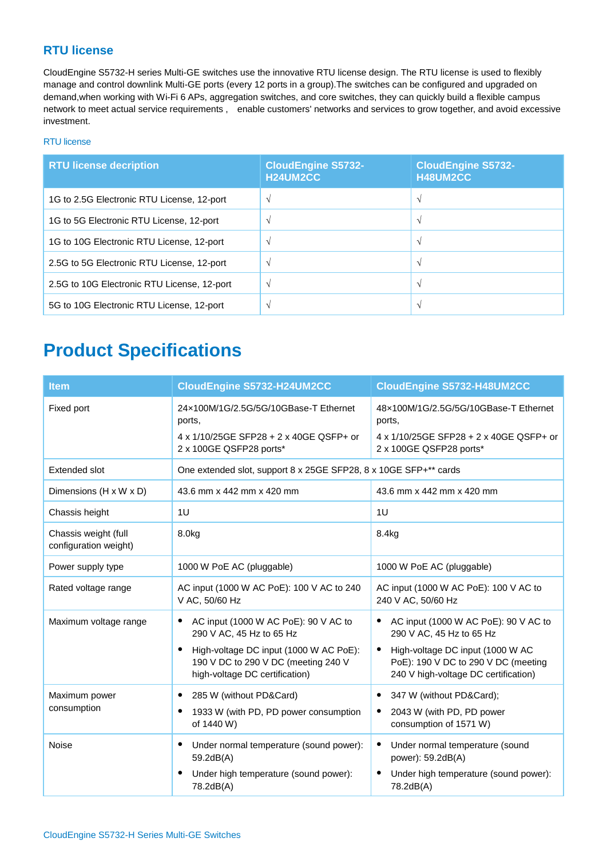### **RTU license**

CloudEngine S5732-H series Multi-GE switches use the innovative RTU license design. The RTU license is used to flexibly manage and control downlink Multi-GE ports (every 12 ports in a group).The switches can be configured and upgraded on demand,when working with Wi-Fi 6 APs, aggregation switches, and core switches, they can quickly build a flexible campus network to meet actual service requirements , enable customers' networks and services to grow together, and avoid excessive investment.

### RTU license

| <b>RTU license decription</b>               | <b>CloudEngine S5732-</b><br>H24UM2CC | <b>CloudEngine S5732-</b><br>H48UM2CC |
|---------------------------------------------|---------------------------------------|---------------------------------------|
| 1G to 2.5G Electronic RTU License, 12-port  | $\Delta$                              |                                       |
| 1G to 5G Electronic RTU License, 12-port    |                                       | $\sim$                                |
| 1G to 10G Electronic RTU License, 12-port   |                                       |                                       |
| 2.5G to 5G Electronic RTU License, 12-port  | $\lambda$                             | $\mathcal{L}$                         |
| 2.5G to 10G Electronic RTU License, 12-port | $\mathcal{N}$                         | $\sqrt{ }$                            |
| 5G to 10G Electronic RTU License, 12-port   | $\sim$                                | $\sim$                                |

### **Product Specifications**

| <b>Item</b>                                   | CloudEngine S5732-H24UM2CC                                                                                                   | CloudEngine S5732-H48UM2CC                                                                                                   |
|-----------------------------------------------|------------------------------------------------------------------------------------------------------------------------------|------------------------------------------------------------------------------------------------------------------------------|
| Fixed port                                    | 24x100M/1G/2.5G/5G/10GBase-T Ethernet<br>ports,                                                                              | 48x100M/1G/2.5G/5G/10GBase-T Ethernet<br>ports,                                                                              |
|                                               | 4 x 1/10/25GE SFP28 + 2 x 40GE QSFP+ or<br>2 x 100GE QSFP28 ports*                                                           | 4 x 1/10/25GE SFP28 + 2 x 40GE QSFP+ or<br>2 x 100GE QSFP28 ports*                                                           |
| Extended slot                                 | One extended slot, support 8 x 25GE SFP28, 8 x 10GE SFP+** cards                                                             |                                                                                                                              |
| Dimensions (H x W x D)                        | 43.6 mm x 442 mm x 420 mm                                                                                                    | 43.6 mm x 442 mm x 420 mm                                                                                                    |
| Chassis height                                | 1U                                                                                                                           | 1U                                                                                                                           |
| Chassis weight (full<br>configuration weight) | 8.0kg                                                                                                                        | 8.4kg                                                                                                                        |
| Power supply type                             | 1000 W PoE AC (pluggable)                                                                                                    | 1000 W PoE AC (pluggable)                                                                                                    |
| Rated voltage range                           | AC input (1000 W AC PoE): 100 V AC to 240<br>V AC, 50/60 Hz                                                                  | AC input (1000 W AC PoE): 100 V AC to<br>240 V AC, 50/60 Hz                                                                  |
| Maximum voltage range                         | AC input (1000 W AC PoE): 90 V AC to<br>$\bullet$<br>290 V AC, 45 Hz to 65 Hz                                                | AC input (1000 W AC PoE): 90 V AC to<br>٠<br>290 V AC, 45 Hz to 65 Hz                                                        |
|                                               | High-voltage DC input (1000 W AC PoE):<br>$\bullet$<br>190 V DC to 290 V DC (meeting 240 V<br>high-voltage DC certification) | High-voltage DC input (1000 W AC<br>$\bullet$<br>PoE): 190 V DC to 290 V DC (meeting<br>240 V high-voltage DC certification) |
| Maximum power<br>consumption                  | 285 W (without PD&Card)<br>$\bullet$<br>1933 W (with PD, PD power consumption<br>$\bullet$<br>of 1440 W)                     | 347 W (without PD&Card);<br>٠<br>2043 W (with PD, PD power<br>$\bullet$<br>consumption of 1571 W)                            |
| Noise                                         | Under normal temperature (sound power):<br>$\bullet$<br>59.2dB(A)                                                            | Under normal temperature (sound<br>$\bullet$<br>power): 59.2dB(A)                                                            |
|                                               | Under high temperature (sound power):<br>$\bullet$<br>78.2dB(A)                                                              | Under high temperature (sound power):<br>$\bullet$<br>78.2dB(A)                                                              |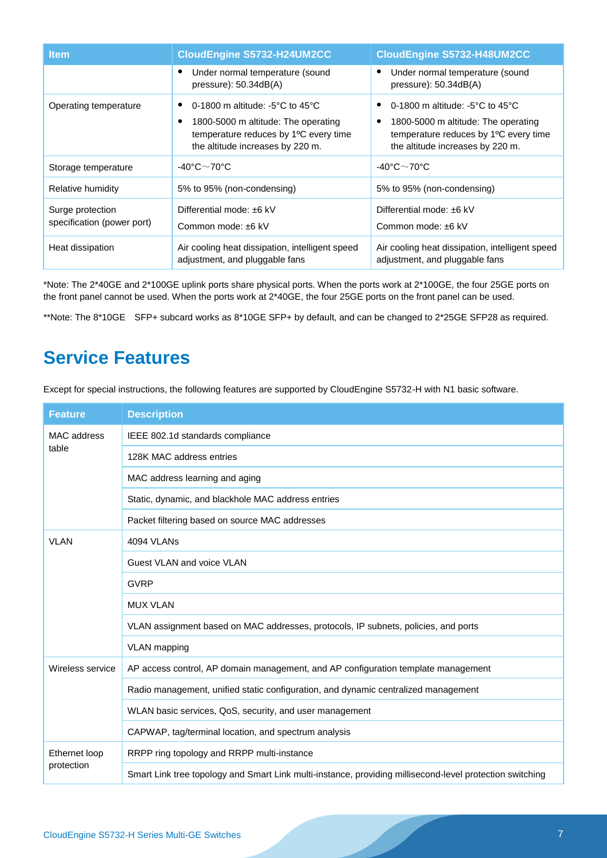| <b>Item</b>                                    | CloudEngine S5732-H24UM2CC                                                                                                                                                   | <b>CloudEngine S5732-H48UM2CC</b>                                                                                                                                       |
|------------------------------------------------|------------------------------------------------------------------------------------------------------------------------------------------------------------------------------|-------------------------------------------------------------------------------------------------------------------------------------------------------------------------|
|                                                | Under normal temperature (sound<br>٠<br>pressure): $50.34dB(A)$                                                                                                              | Under normal temperature (sound<br>pressure): $50.34dB(A)$                                                                                                              |
| Operating temperature                          | 0-1800 m altitude: -5 $\degree$ C to 45 $\degree$ C<br>1800-5000 m altitude: The operating<br>c<br>temperature reduces by 1°C every time<br>the altitude increases by 220 m. | 0-1800 m altitude: -5 $\degree$ C to 45 $\degree$ C<br>1800-5000 m altitude: The operating<br>temperature reduces by 1°C every time<br>the altitude increases by 220 m. |
| Storage temperature                            | -40°C $\sim$ 70°C                                                                                                                                                            | -40°C $\sim$ 70°C                                                                                                                                                       |
| Relative humidity                              | 5% to 95% (non-condensing)                                                                                                                                                   | 5% to 95% (non-condensing)                                                                                                                                              |
| Surge protection<br>specification (power port) | Differential mode: ±6 kV<br>Common mode: ±6 kV                                                                                                                               | Differential mode: ±6 kV<br>Common mode: ±6 kV                                                                                                                          |
| Heat dissipation                               | Air cooling heat dissipation, intelligent speed<br>adjustment, and pluggable fans                                                                                            | Air cooling heat dissipation, intelligent speed<br>adjustment, and pluggable fans                                                                                       |

\*Note: The 2\*40GE and 2\*100GE uplink ports share physical ports. When the ports work at 2\*100GE, the four 25GE ports on the front panel cannot be used. When the ports work at 2\*40GE, the four 25GE ports on the front panel can be used.

\*\*Note: The 8\*10GE SFP+ subcard works as 8\*10GE SFP+ by default, and can be changed to 2\*25GE SFP28 as required.

### **Service Features**

Except for special instructions, the following features are supported by CloudEngine S5732-H with N1 basic software.

| <b>Feature</b>              | <b>Description</b>                                                                                       |
|-----------------------------|----------------------------------------------------------------------------------------------------------|
| MAC address<br>table        | IEEE 802.1d standards compliance                                                                         |
|                             | 128K MAC address entries                                                                                 |
|                             | MAC address learning and aging                                                                           |
|                             | Static, dynamic, and blackhole MAC address entries                                                       |
|                             | Packet filtering based on source MAC addresses                                                           |
| <b>VLAN</b>                 | 4094 VLANs                                                                                               |
|                             | Guest VLAN and voice VLAN                                                                                |
|                             | <b>GVRP</b>                                                                                              |
|                             | <b>MUX VLAN</b>                                                                                          |
|                             | VLAN assignment based on MAC addresses, protocols, IP subnets, policies, and ports                       |
|                             | <b>VLAN</b> mapping                                                                                      |
| Wireless service            | AP access control, AP domain management, and AP configuration template management                        |
|                             | Radio management, unified static configuration, and dynamic centralized management                       |
|                             | WLAN basic services, QoS, security, and user management                                                  |
|                             | CAPWAP, tag/terminal location, and spectrum analysis                                                     |
| Ethernet loop<br>protection | RRPP ring topology and RRPP multi-instance                                                               |
|                             | Smart Link tree topology and Smart Link multi-instance, providing millisecond-level protection switching |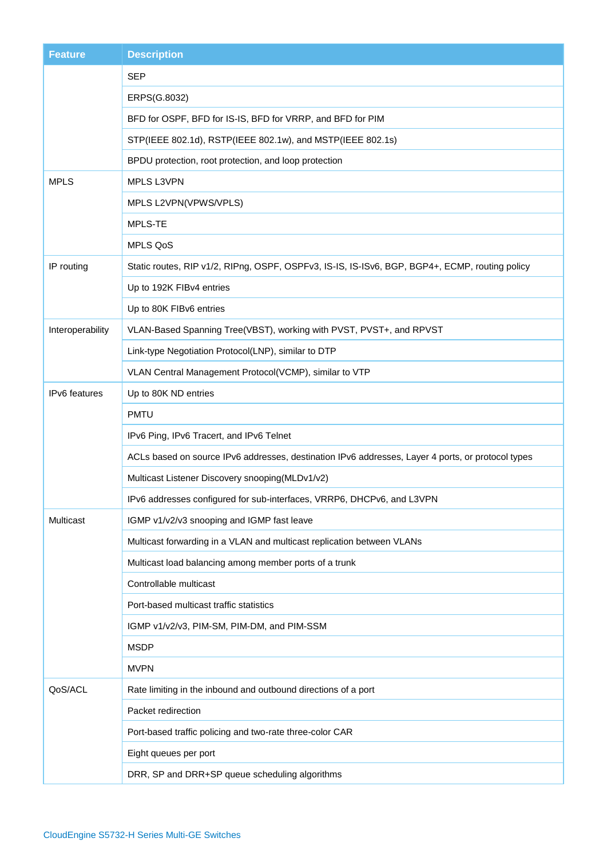| <b>Feature</b>       | <b>Description</b>                                                                                |
|----------------------|---------------------------------------------------------------------------------------------------|
|                      | <b>SEP</b>                                                                                        |
|                      | ERPS(G.8032)                                                                                      |
|                      | BFD for OSPF, BFD for IS-IS, BFD for VRRP, and BFD for PIM                                        |
|                      | STP(IEEE 802.1d), RSTP(IEEE 802.1w), and MSTP(IEEE 802.1s)                                        |
|                      | BPDU protection, root protection, and loop protection                                             |
| <b>MPLS</b>          | MPLS L3VPN                                                                                        |
|                      | MPLS L2VPN(VPWS/VPLS)                                                                             |
|                      | MPLS-TE                                                                                           |
|                      | <b>MPLS QoS</b>                                                                                   |
| IP routing           | Static routes, RIP v1/2, RIPng, OSPF, OSPFv3, IS-IS, IS-ISv6, BGP, BGP4+, ECMP, routing policy    |
|                      | Up to 192K FIBv4 entries                                                                          |
|                      | Up to 80K FIBv6 entries                                                                           |
| Interoperability     | VLAN-Based Spanning Tree(VBST), working with PVST, PVST+, and RPVST                               |
|                      | Link-type Negotiation Protocol(LNP), similar to DTP                                               |
|                      | VLAN Central Management Protocol(VCMP), similar to VTP                                            |
| <b>IPv6</b> features | Up to 80K ND entries                                                                              |
|                      | <b>PMTU</b>                                                                                       |
|                      | IPv6 Ping, IPv6 Tracert, and IPv6 Telnet                                                          |
|                      | ACLs based on source IPv6 addresses, destination IPv6 addresses, Layer 4 ports, or protocol types |
|                      | Multicast Listener Discovery snooping(MLDv1/v2)                                                   |
|                      | IPv6 addresses configured for sub-interfaces, VRRP6, DHCPv6, and L3VPN                            |
| Multicast            | IGMP v1/v2/v3 snooping and IGMP fast leave                                                        |
|                      | Multicast forwarding in a VLAN and multicast replication between VLANs                            |
|                      | Multicast load balancing among member ports of a trunk                                            |
|                      | Controllable multicast                                                                            |
|                      | Port-based multicast traffic statistics                                                           |
|                      | IGMP v1/v2/v3, PIM-SM, PIM-DM, and PIM-SSM                                                        |
|                      | <b>MSDP</b>                                                                                       |
|                      | <b>MVPN</b>                                                                                       |
| QoS/ACL              | Rate limiting in the inbound and outbound directions of a port                                    |
|                      | Packet redirection                                                                                |
|                      | Port-based traffic policing and two-rate three-color CAR                                          |
|                      | Eight queues per port                                                                             |
|                      | DRR, SP and DRR+SP queue scheduling algorithms                                                    |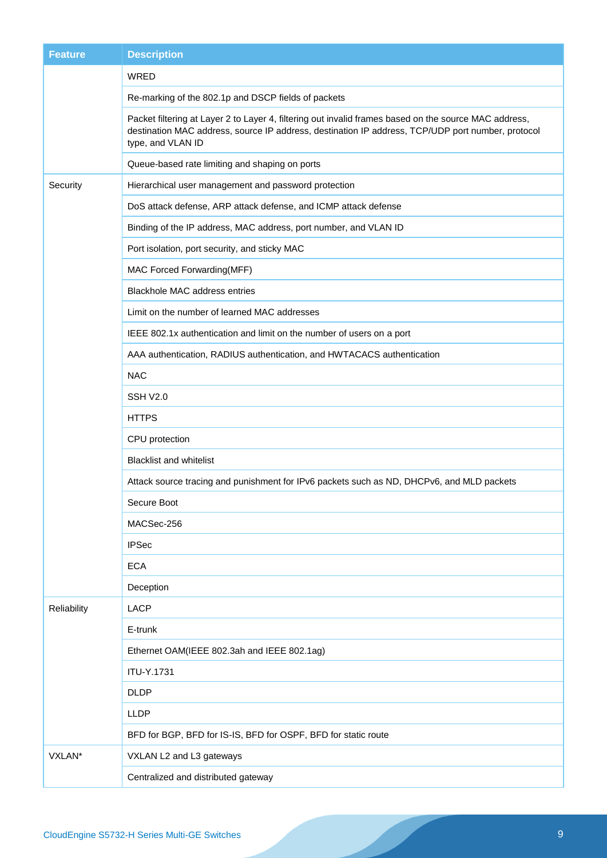| <b>Feature</b> | <b>Description</b>                                                                                                                                                                                                              |
|----------------|---------------------------------------------------------------------------------------------------------------------------------------------------------------------------------------------------------------------------------|
|                | WRED                                                                                                                                                                                                                            |
|                | Re-marking of the 802.1p and DSCP fields of packets                                                                                                                                                                             |
|                | Packet filtering at Layer 2 to Layer 4, filtering out invalid frames based on the source MAC address,<br>destination MAC address, source IP address, destination IP address, TCP/UDP port number, protocol<br>type, and VLAN ID |
|                | Queue-based rate limiting and shaping on ports                                                                                                                                                                                  |
| Security       | Hierarchical user management and password protection                                                                                                                                                                            |
|                | DoS attack defense, ARP attack defense, and ICMP attack defense                                                                                                                                                                 |
|                | Binding of the IP address, MAC address, port number, and VLAN ID                                                                                                                                                                |
|                | Port isolation, port security, and sticky MAC                                                                                                                                                                                   |
|                | MAC Forced Forwarding(MFF)                                                                                                                                                                                                      |
|                | <b>Blackhole MAC address entries</b>                                                                                                                                                                                            |
|                | Limit on the number of learned MAC addresses                                                                                                                                                                                    |
|                | IEEE 802.1x authentication and limit on the number of users on a port                                                                                                                                                           |
|                | AAA authentication, RADIUS authentication, and HWTACACS authentication                                                                                                                                                          |
|                | <b>NAC</b>                                                                                                                                                                                                                      |
|                | <b>SSH V2.0</b>                                                                                                                                                                                                                 |
|                | <b>HTTPS</b>                                                                                                                                                                                                                    |
|                | CPU protection                                                                                                                                                                                                                  |
|                | <b>Blacklist and whitelist</b>                                                                                                                                                                                                  |
|                | Attack source tracing and punishment for IPv6 packets such as ND, DHCPv6, and MLD packets                                                                                                                                       |
|                | Secure Boot                                                                                                                                                                                                                     |
|                | MACSec-256                                                                                                                                                                                                                      |
|                | <b>IPSec</b>                                                                                                                                                                                                                    |
|                | <b>ECA</b>                                                                                                                                                                                                                      |
|                | Deception                                                                                                                                                                                                                       |
| Reliability    | <b>LACP</b>                                                                                                                                                                                                                     |
|                | E-trunk                                                                                                                                                                                                                         |
|                | Ethernet OAM(IEEE 802.3ah and IEEE 802.1ag)                                                                                                                                                                                     |
|                | ITU-Y.1731                                                                                                                                                                                                                      |
|                | <b>DLDP</b>                                                                                                                                                                                                                     |
|                | <b>LLDP</b>                                                                                                                                                                                                                     |
|                | BFD for BGP, BFD for IS-IS, BFD for OSPF, BFD for static route                                                                                                                                                                  |
| VXLAN*         | VXLAN L2 and L3 gateways                                                                                                                                                                                                        |
|                | Centralized and distributed gateway                                                                                                                                                                                             |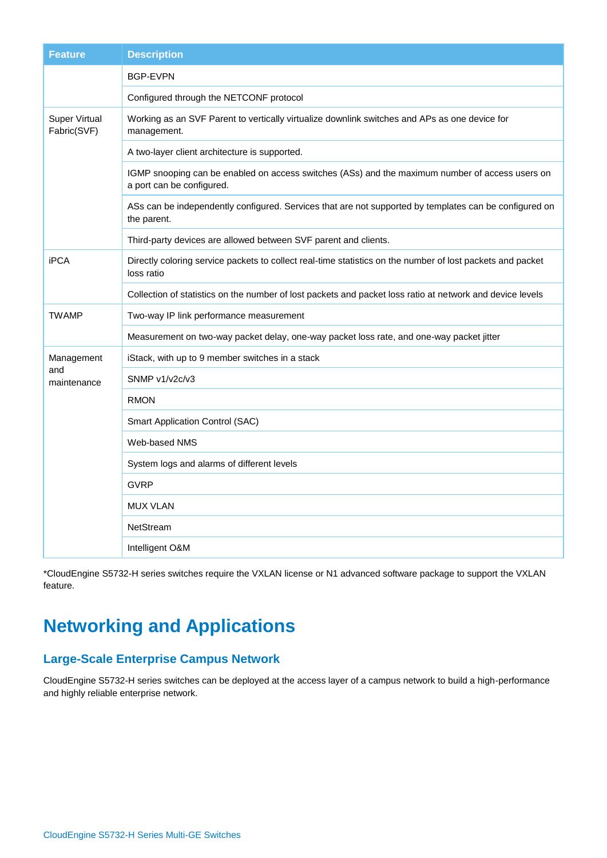| <b>Feature</b>               | <b>Description</b>                                                                                                           |
|------------------------------|------------------------------------------------------------------------------------------------------------------------------|
|                              | <b>BGP-EVPN</b>                                                                                                              |
|                              | Configured through the NETCONF protocol                                                                                      |
| Super Virtual<br>Fabric(SVF) | Working as an SVF Parent to vertically virtualize downlink switches and APs as one device for<br>management.                 |
|                              | A two-layer client architecture is supported.                                                                                |
|                              | IGMP snooping can be enabled on access switches (ASs) and the maximum number of access users on<br>a port can be configured. |
|                              | ASs can be independently configured. Services that are not supported by templates can be configured on<br>the parent.        |
|                              | Third-party devices are allowed between SVF parent and clients.                                                              |
| <b>iPCA</b>                  | Directly coloring service packets to collect real-time statistics on the number of lost packets and packet<br>loss ratio     |
|                              | Collection of statistics on the number of lost packets and packet loss ratio at network and device levels                    |
| <b>TWAMP</b>                 | Two-way IP link performance measurement                                                                                      |
|                              | Measurement on two-way packet delay, one-way packet loss rate, and one-way packet jitter                                     |
| Management                   | iStack, with up to 9 member switches in a stack                                                                              |
| and<br>maintenance           | SNMP v1/v2c/v3                                                                                                               |
|                              | <b>RMON</b>                                                                                                                  |
|                              | Smart Application Control (SAC)                                                                                              |
|                              | Web-based NMS                                                                                                                |
|                              | System logs and alarms of different levels                                                                                   |
|                              | <b>GVRP</b>                                                                                                                  |
|                              | <b>MUX VLAN</b>                                                                                                              |
|                              | NetStream                                                                                                                    |
|                              | Intelligent O&M                                                                                                              |

\*CloudEngine S5732-H series switches require the VXLAN license or N1 advanced software package to support the VXLAN feature.

## **Networking and Applications**

### **Large-Scale Enterprise Campus Network**

CloudEngine S5732-H series switches can be deployed at the access layer of a campus network to build a high-performance and highly reliable enterprise network.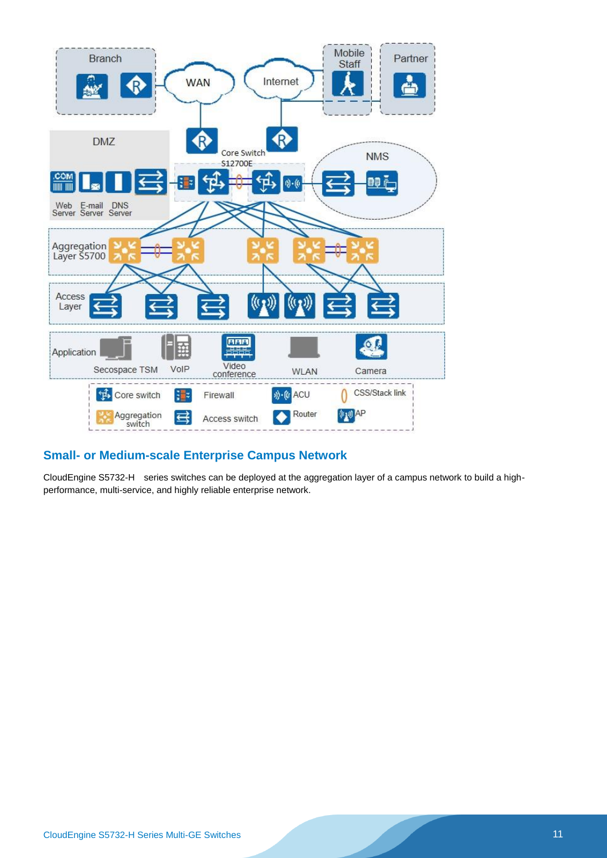

### **Small- or Medium-scale Enterprise Campus Network**

CloudEngine S5732-H series switches can be deployed at the aggregation layer of a campus network to build a highperformance, multi-service, and highly reliable enterprise network.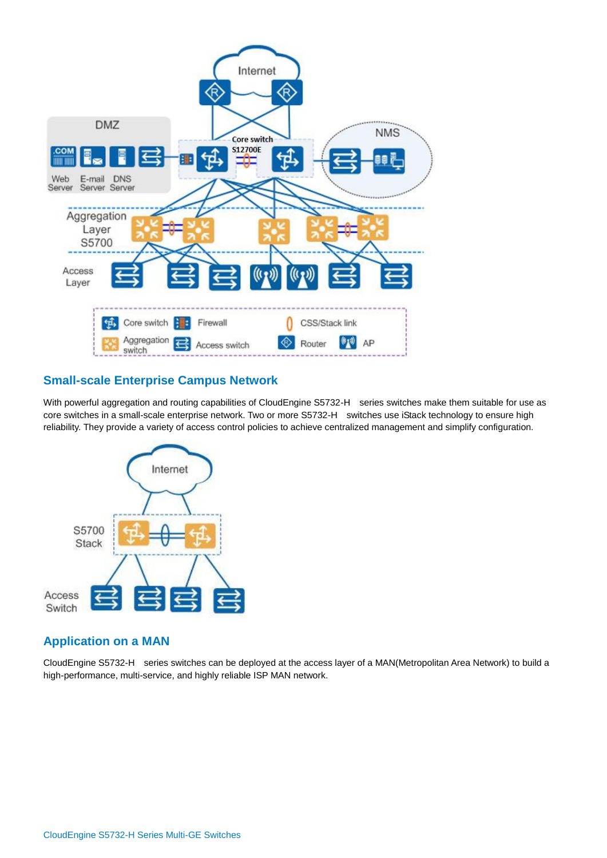

### **Small-scale Enterprise Campus Network**

With powerful aggregation and routing capabilities of CloudEngine S5732-H series switches make them suitable for use as core switches in a small-scale enterprise network. Two or more S5732-H switches use iStack technology to ensure high reliability. They provide a variety of access control policies to achieve centralized management and simplify configuration.



### **Application on a MAN**

CloudEngine S5732-H series switches can be deployed at the access layer of a MAN(Metropolitan Area Network) to build a high-performance, multi-service, and highly reliable ISP MAN network.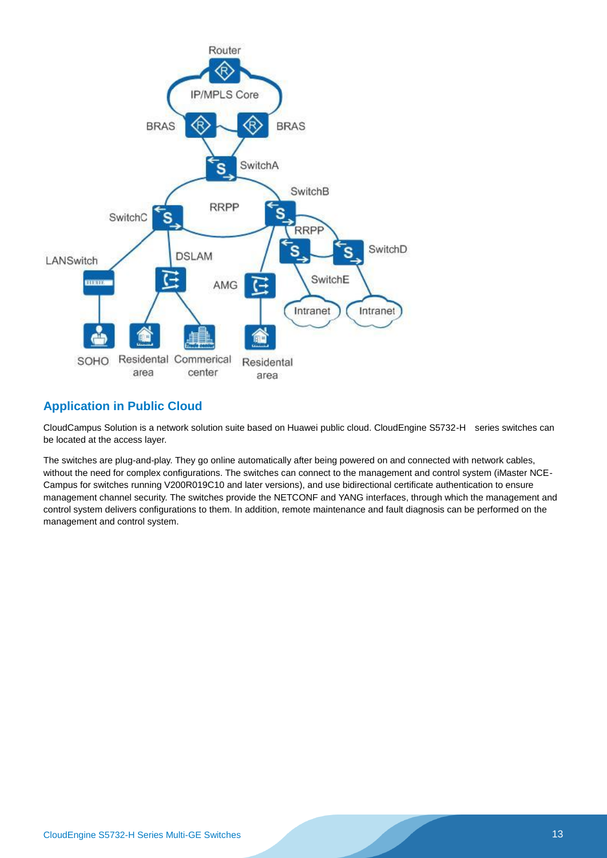

### **Application in Public Cloud**

CloudCampus Solution is a network solution suite based on Huawei public cloud. CloudEngine S5732-H series switches can be located at the access layer.

The switches are plug-and-play. They go online automatically after being powered on and connected with network cables, without the need for complex configurations. The switches can connect to the management and control system (iMaster NCE-Campus for switches running V200R019C10 and later versions), and use bidirectional certificate authentication to ensure management channel security. The switches provide the NETCONF and YANG interfaces, through which the management and control system delivers configurations to them. In addition, remote maintenance and fault diagnosis can be performed on the management and control system.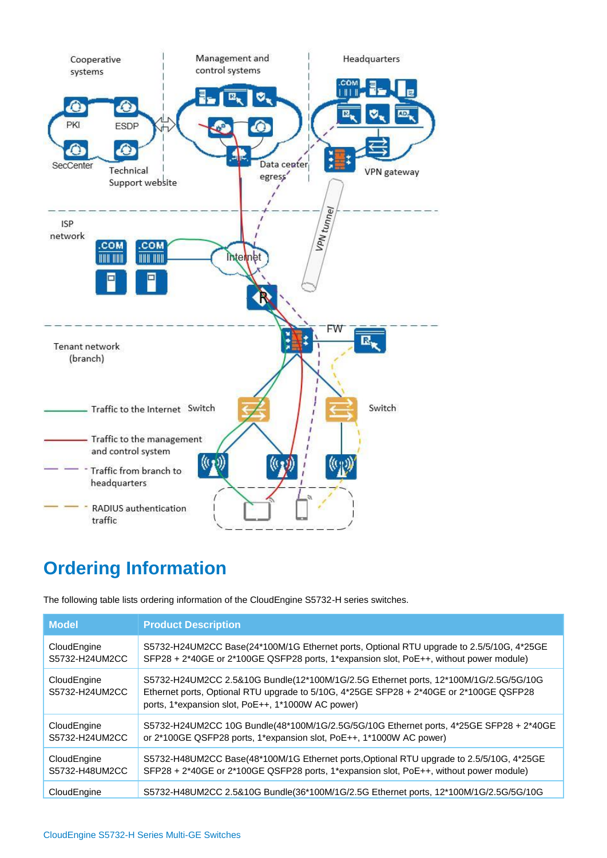

## **Ordering Information**

The following table lists ordering information of the CloudEngine S5732-H series switches.

| <b>Model</b>                  | <b>Product Description</b>                                                                                                                                                                                                          |
|-------------------------------|-------------------------------------------------------------------------------------------------------------------------------------------------------------------------------------------------------------------------------------|
| CloudEngine<br>S5732-H24UM2CC | S5732-H24UM2CC Base(24*100M/1G Ethernet ports, Optional RTU upgrade to 2.5/5/10G, 4*25GE<br>SFP28 + 2*40GE or 2*100GE QSFP28 ports, 1*expansion slot, PoE++, without power module)                                                  |
| CloudEngine<br>S5732-H24UM2CC | S5732-H24UM2CC 2.5&10G Bundle(12*100M/1G/2.5G Ethernet ports, 12*100M/1G/2.5G/5G/10G<br>Ethernet ports, Optional RTU upgrade to 5/10G, 4*25GE SFP28 + 2*40GE or 2*100GE QSFP28<br>ports, 1*expansion slot, PoE++, 1*1000W AC power) |
| CloudEngine<br>S5732-H24UM2CC | S5732-H24UM2CC 10G Bundle(48*100M/1G/2.5G/5G/10G Ethernet ports, 4*25GE SFP28 + 2*40GE<br>or 2*100GE QSFP28 ports, 1*expansion slot, PoE++, 1*1000W AC power)                                                                       |
| CloudEngine<br>S5732-H48UM2CC | S5732-H48UM2CC Base(48*100M/1G Ethernet ports, Optional RTU upgrade to 2.5/5/10G, 4*25GE<br>SFP28 + 2*40GE or 2*100GE QSFP28 ports, 1*expansion slot, PoE++, without power module)                                                  |
| CloudEngine                   | S5732-H48UM2CC 2.5&10G Bundle(36*100M/1G/2.5G Ethernet ports, 12*100M/1G/2.5G/5G/10G                                                                                                                                                |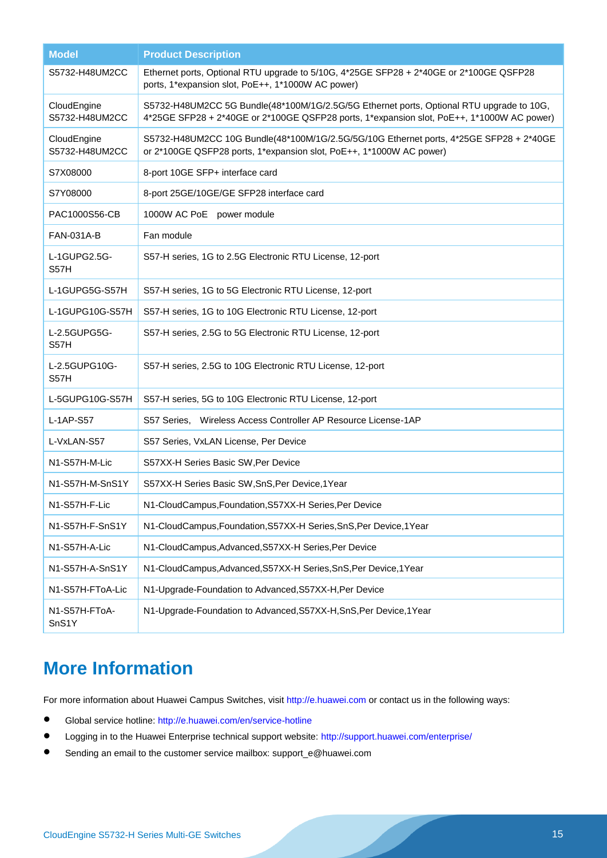| <b>Model</b>                  | <b>Product Description</b>                                                                                                                                                            |
|-------------------------------|---------------------------------------------------------------------------------------------------------------------------------------------------------------------------------------|
| S5732-H48UM2CC                | Ethernet ports, Optional RTU upgrade to 5/10G, 4*25GE SFP28 + 2*40GE or 2*100GE QSFP28<br>ports, 1*expansion slot, PoE++, 1*1000W AC power)                                           |
| CloudEngine<br>S5732-H48UM2CC | S5732-H48UM2CC 5G Bundle(48*100M/1G/2.5G/5G Ethernet ports, Optional RTU upgrade to 10G,<br>4*25GE SFP28 + 2*40GE or 2*100GE QSFP28 ports, 1*expansion slot, PoE++, 1*1000W AC power) |
| CloudEngine<br>S5732-H48UM2CC | S5732-H48UM2CC 10G Bundle(48*100M/1G/2.5G/5G/10G Ethernet ports, 4*25GE SFP28 + 2*40GE<br>or 2*100GE QSFP28 ports, 1*expansion slot, PoE++, 1*1000W AC power)                         |
| S7X08000                      | 8-port 10GE SFP+ interface card                                                                                                                                                       |
| S7Y08000                      | 8-port 25GE/10GE/GE SFP28 interface card                                                                                                                                              |
| PAC1000S56-CB                 | 1000W AC PoE<br>power module                                                                                                                                                          |
| <b>FAN-031A-B</b>             | Fan module                                                                                                                                                                            |
| L-1GUPG2.5G-<br>S57H          | S57-H series, 1G to 2.5G Electronic RTU License, 12-port                                                                                                                              |
| L-1GUPG5G-S57H                | S57-H series, 1G to 5G Electronic RTU License, 12-port                                                                                                                                |
| L-1GUPG10G-S57H               | S57-H series, 1G to 10G Electronic RTU License, 12-port                                                                                                                               |
| L-2.5GUPG5G-<br>S57H          | S57-H series, 2.5G to 5G Electronic RTU License, 12-port                                                                                                                              |
| L-2.5GUPG10G-<br>S57H         | S57-H series, 2.5G to 10G Electronic RTU License, 12-port                                                                                                                             |
| L-5GUPG10G-S57H               | S57-H series, 5G to 10G Electronic RTU License, 12-port                                                                                                                               |
| L-1AP-S57                     | S57 Series, Wireless Access Controller AP Resource License-1AP                                                                                                                        |
| L-VxLAN-S57                   | S57 Series, VxLAN License, Per Device                                                                                                                                                 |
| N1-S57H-M-Lic                 | S57XX-H Series Basic SW, Per Device                                                                                                                                                   |
| N1-S57H-M-SnS1Y               | S57XX-H Series Basic SW, SnS, Per Device, 1Year                                                                                                                                       |
| N1-S57H-F-Lic                 | N1-CloudCampus, Foundation, S57XX-H Series, Per Device                                                                                                                                |
| N1-S57H-F-SnS1Y               | N1-CloudCampus, Foundation, S57XX-H Series, SnS, Per Device, 1Year                                                                                                                    |
| N1-S57H-A-Lic                 | N1-CloudCampus, Advanced, S57XX-H Series, Per Device                                                                                                                                  |
| N1-S57H-A-SnS1Y               | N1-CloudCampus, Advanced, S57XX-H Series, SnS, Per Device, 1Year                                                                                                                      |
| N1-S57H-FToA-Lic              | N1-Upgrade-Foundation to Advanced, S57XX-H, Per Device                                                                                                                                |
| N1-S57H-FToA-<br>SnS1Y        | N1-Upgrade-Foundation to Advanced, S57XX-H, SnS, Per Device, 1Year                                                                                                                    |

## **More Information**

For more information about Huawei Campus Switches, visit [http://e.huawei.com](http://e.huawei.com/) or contact us in the following ways:

- Global service hotline:<http://e.huawei.com/en/service-hotline>
- **.** Logging in to the Huawei Enterprise technical support website:<http://support.huawei.com/enterprise/>
- Sending an email to the customer service mailbox: support\_e@huawei.com